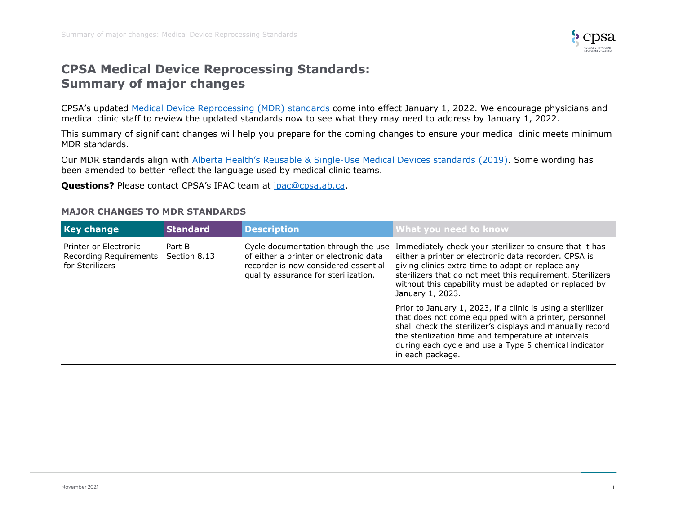

# **CPSA Medical Device Reprocessing Standards: Summary of major changes**

CPSA's updated [Medical Device Reprocessing \(MDR\) standards](https://cpsa.ca/wp-content/uploads/2021/09/Medical-Device-Reprocessing-Standards-2022.pdf) come into effect January 1, 2022. We encourage physicians and medical clinic staff to review the updated standards now to see what they may need to address by January 1, 2022.

This summary of significant changes will help you prepare for the coming changes to ensure your medical clinic meets minimum MDR standards.

Our MDR standards align with Alberta Health's Reusable & Single[-Use Medical Devices standards \(2019\).](https://open.alberta.ca/dataset/fd371ac2-b2be-49ac-93ef-43865a0bc0fb/resource/56c1cd3c-b617-4d91-947d-3e0e4a68cd09/download/health-reusable-single-use-medical-devices-standards.pdf) Some wording has been amended to better reflect the language used by medical clinic teams.

**Questions?** Please contact CPSA's IPAC team at [ipac@cpsa.ab.ca.](mailto:ipac@cpsa.ab.ca)

#### **MAJOR CHANGES TO MDR STANDARDS**

| <b>Key change</b>                                                               | <b>Standard</b> | <b>Description</b>                                                                                                                                            | What you need to know                                                                                                                                                                                                                                                                                                 |
|---------------------------------------------------------------------------------|-----------------|---------------------------------------------------------------------------------------------------------------------------------------------------------------|-----------------------------------------------------------------------------------------------------------------------------------------------------------------------------------------------------------------------------------------------------------------------------------------------------------------------|
| Printer or Electronic<br>Recording Requirements Section 8.13<br>for Sterilizers | Part B          | Cycle documentation through the use<br>of either a printer or electronic data<br>recorder is now considered essential<br>quality assurance for sterilization. | Immediately check your sterilizer to ensure that it has<br>either a printer or electronic data recorder. CPSA is<br>giving clinics extra time to adapt or replace any<br>sterilizers that do not meet this requirement. Sterilizers<br>without this capability must be adapted or replaced by<br>January 1, 2023.     |
|                                                                                 |                 |                                                                                                                                                               | Prior to January 1, 2023, if a clinic is using a sterilizer<br>that does not come equipped with a printer, personnel<br>shall check the sterilizer's displays and manually record<br>the sterilization time and temperature at intervals<br>during each cycle and use a Type 5 chemical indicator<br>in each package. |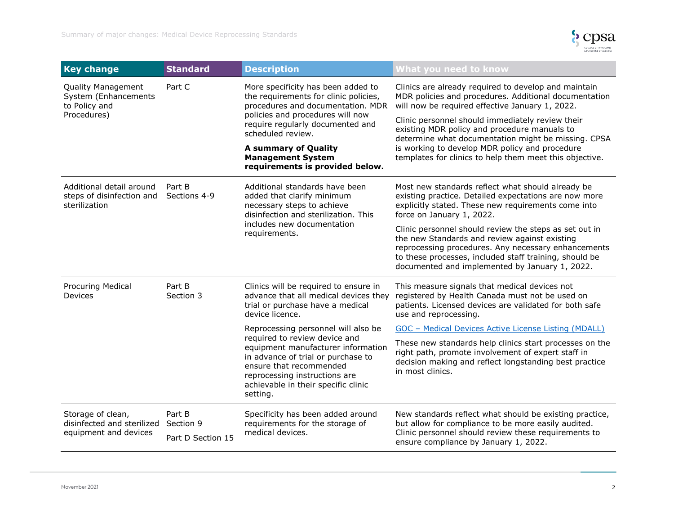

| <b>Key change</b>                                                                 | <b>Standard</b>                          | <b>Description</b>                                                                                                                                                                                                                                              | What you need to know                                                                                                                                                                                                                                                      |
|-----------------------------------------------------------------------------------|------------------------------------------|-----------------------------------------------------------------------------------------------------------------------------------------------------------------------------------------------------------------------------------------------------------------|----------------------------------------------------------------------------------------------------------------------------------------------------------------------------------------------------------------------------------------------------------------------------|
| <b>Quality Management</b><br>System (Enhancements<br>to Policy and<br>Procedures) | Part C                                   | More specificity has been added to<br>the requirements for clinic policies,<br>procedures and documentation. MDR<br>policies and procedures will now<br>require regularly documented and<br>scheduled review.                                                   | Clinics are already required to develop and maintain<br>MDR policies and procedures. Additional documentation<br>will now be required effective January 1, 2022.                                                                                                           |
|                                                                                   |                                          |                                                                                                                                                                                                                                                                 | Clinic personnel should immediately review their<br>existing MDR policy and procedure manuals to<br>determine what documentation might be missing. CPSA<br>is working to develop MDR policy and procedure<br>templates for clinics to help them meet this objective.       |
|                                                                                   |                                          | <b>A summary of Quality</b><br><b>Management System</b><br>requirements is provided below.                                                                                                                                                                      |                                                                                                                                                                                                                                                                            |
| Additional detail around<br>steps of disinfection and<br>sterilization            | Part B<br>Sections 4-9                   | Additional standards have been<br>added that clarify minimum<br>necessary steps to achieve<br>disinfection and sterilization. This<br>includes new documentation<br>requirements.                                                                               | Most new standards reflect what should already be<br>existing practice. Detailed expectations are now more<br>explicitly stated. These new requirements come into<br>force on January 1, 2022.                                                                             |
|                                                                                   |                                          |                                                                                                                                                                                                                                                                 | Clinic personnel should review the steps as set out in<br>the new Standards and review against existing<br>reprocessing procedures. Any necessary enhancements<br>to these processes, included staff training, should be<br>documented and implemented by January 1, 2022. |
| <b>Procuring Medical</b><br>Devices                                               | Part B<br>Section 3                      | Clinics will be required to ensure in<br>advance that all medical devices they<br>trial or purchase have a medical<br>device licence.                                                                                                                           | This measure signals that medical devices not<br>registered by Health Canada must not be used on<br>patients. Licensed devices are validated for both safe<br>use and reprocessing.                                                                                        |
|                                                                                   |                                          | Reprocessing personnel will also be<br>required to review device and<br>equipment manufacturer information<br>in advance of trial or purchase to<br>ensure that recommended<br>reprocessing instructions are<br>achievable in their specific clinic<br>setting. | GOC - Medical Devices Active License Listing (MDALL)                                                                                                                                                                                                                       |
|                                                                                   |                                          |                                                                                                                                                                                                                                                                 | These new standards help clinics start processes on the<br>right path, promote involvement of expert staff in<br>decision making and reflect longstanding best practice<br>in most clinics.                                                                                |
| Storage of clean,<br>disinfected and sterilized<br>equipment and devices          | Part B<br>Section 9<br>Part D Section 15 | Specificity has been added around<br>requirements for the storage of<br>medical devices.                                                                                                                                                                        | New standards reflect what should be existing practice,<br>but allow for compliance to be more easily audited.<br>Clinic personnel should review these requirements to<br>ensure compliance by January 1, 2022.                                                            |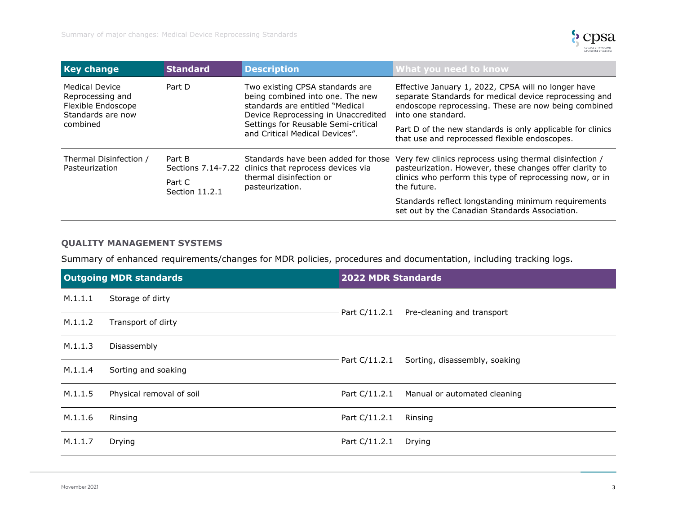

| <b>Key change</b>                                                                         | <b>Standard</b>          | <b>Description</b>                                                                                                                                                                                                     | What you need to know                                                                                                                                                                         |
|-------------------------------------------------------------------------------------------|--------------------------|------------------------------------------------------------------------------------------------------------------------------------------------------------------------------------------------------------------------|-----------------------------------------------------------------------------------------------------------------------------------------------------------------------------------------------|
| Medical Device<br>Reprocessing and<br>Flexible Endoscope<br>Standards are now<br>combined | Part D                   | Two existing CPSA standards are<br>being combined into one. The new<br>standards are entitled "Medical<br>Device Reprocessing in Unaccredited<br>Settings for Reusable Semi-critical<br>and Critical Medical Devices". | Effective January 1, 2022, CPSA will no longer have<br>separate Standards for medical device reprocessing and<br>endoscope reprocessing. These are now being combined<br>into one standard.   |
|                                                                                           |                          |                                                                                                                                                                                                                        | Part D of the new standards is only applicable for clinics<br>that use and reprocessed flexible endoscopes.                                                                                   |
| Thermal Disinfection /<br>Pasteurization                                                  | Part B                   | Standards have been added for those<br>Sections 7.14-7.22 clinics that reprocess devices via<br>thermal disinfection or<br>pasteurization.                                                                             | Very few clinics reprocess using thermal disinfection /<br>pasteurization. However, these changes offer clarity to<br>clinics who perform this type of reprocessing now, or in<br>the future. |
|                                                                                           | Part C<br>Section 11.2.1 |                                                                                                                                                                                                                        |                                                                                                                                                                                               |
|                                                                                           |                          |                                                                                                                                                                                                                        | Standards reflect longstanding minimum requirements<br>set out by the Canadian Standards Association.                                                                                         |

## **QUALITY MANAGEMENT SYSTEMS**

Summary of enhanced requirements/changes for MDR policies, procedures and documentation, including tracking logs.

|         | <b>Outgoing MDR standards</b> | <b>2022 MDR Standards</b> |                                              |
|---------|-------------------------------|---------------------------|----------------------------------------------|
| M.1.1.1 | Storage of dirty              |                           |                                              |
| M.1.1.2 | Transport of dirty            |                           | $-$ Part C/11.2.1 Pre-cleaning and transport |
| M.1.1.3 | Disassembly                   | – Part C/11.2.1           |                                              |
| M.1.1.4 | Sorting and soaking           |                           | Sorting, disassembly, soaking                |
| M.1.1.5 | Physical removal of soil      |                           | Part C/11.2.1 Manual or automated cleaning   |
| M.1.1.6 | Rinsing                       | Part C/11.2.1             | Rinsing                                      |
| M.1.1.7 | Drying                        | Part C/11.2.1             | Drying                                       |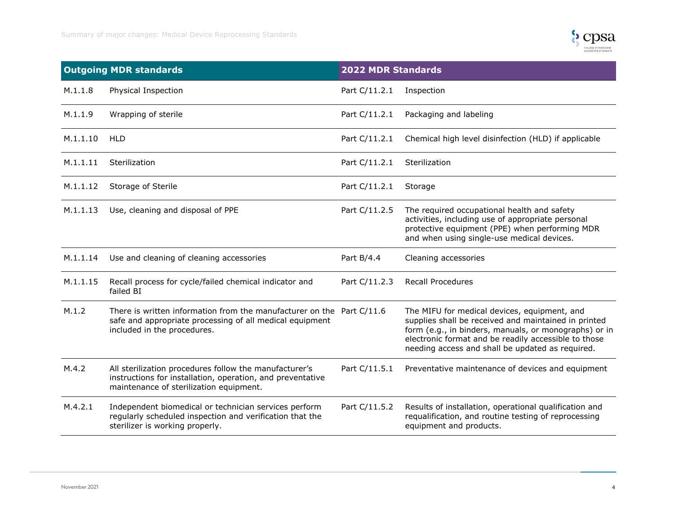

|          | <b>Outgoing MDR standards</b>                                                                                                                                    | <b>2022 MDR Standards</b> |                                                                                                                                                                                                                                                                           |
|----------|------------------------------------------------------------------------------------------------------------------------------------------------------------------|---------------------------|---------------------------------------------------------------------------------------------------------------------------------------------------------------------------------------------------------------------------------------------------------------------------|
| M.1.1.8  | Physical Inspection                                                                                                                                              | Part C/11.2.1             | Inspection                                                                                                                                                                                                                                                                |
| M.1.1.9  | Wrapping of sterile                                                                                                                                              | Part C/11.2.1             | Packaging and labeling                                                                                                                                                                                                                                                    |
| M.1.1.10 | <b>HLD</b>                                                                                                                                                       | Part C/11.2.1             | Chemical high level disinfection (HLD) if applicable                                                                                                                                                                                                                      |
| M.1.1.11 | Sterilization                                                                                                                                                    | Part C/11.2.1             | Sterilization                                                                                                                                                                                                                                                             |
| M.1.1.12 | Storage of Sterile                                                                                                                                               | Part C/11.2.1             | Storage                                                                                                                                                                                                                                                                   |
| M.1.1.13 | Use, cleaning and disposal of PPE                                                                                                                                | Part C/11.2.5             | The required occupational health and safety<br>activities, including use of appropriate personal<br>protective equipment (PPE) when performing MDR<br>and when using single-use medical devices.                                                                          |
| M.1.1.14 | Use and cleaning of cleaning accessories                                                                                                                         | Part B/4.4                | Cleaning accessories                                                                                                                                                                                                                                                      |
| M.1.1.15 | Recall process for cycle/failed chemical indicator and<br>failed BI                                                                                              | Part C/11.2.3             | <b>Recall Procedures</b>                                                                                                                                                                                                                                                  |
| M.1.2    | There is written information from the manufacturer on the Part C/11.6<br>safe and appropriate processing of all medical equipment<br>included in the procedures. |                           | The MIFU for medical devices, equipment, and<br>supplies shall be received and maintained in printed<br>form (e.g., in binders, manuals, or monographs) or in<br>electronic format and be readily accessible to those<br>needing access and shall be updated as required. |
| M.4.2    | All sterilization procedures follow the manufacturer's<br>instructions for installation, operation, and preventative<br>maintenance of sterilization equipment.  | Part C/11.5.1             | Preventative maintenance of devices and equipment                                                                                                                                                                                                                         |
| M.4.2.1  | Independent biomedical or technician services perform<br>regularly scheduled inspection and verification that the<br>sterilizer is working properly.             | Part C/11.5.2             | Results of installation, operational qualification and<br>requalification, and routine testing of reprocessing<br>equipment and products.                                                                                                                                 |